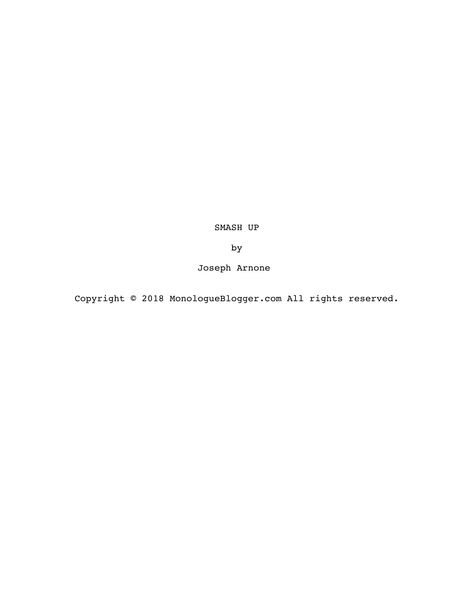SMASH UP

by

Joseph Arnone

Copyright © 2018 MonologueBlogger.com All rights reserved.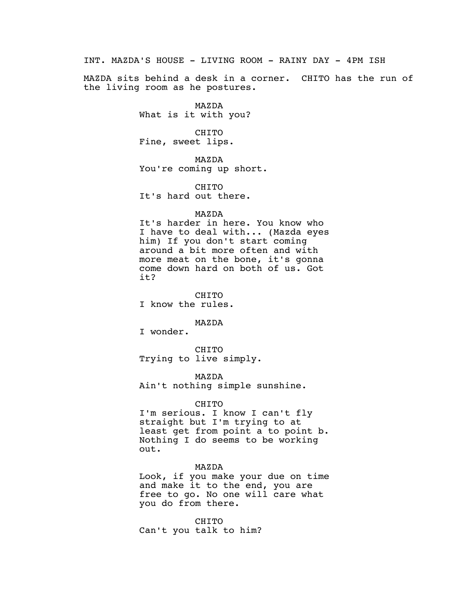INT. MAZDA'S HOUSE - LIVING ROOM - RAINY DAY - 4PM ISH

MAZDA sits behind a desk in a corner. CHITO has the run of the living room as he postures.

> MAZDA What is it with you?

CHITO Fine, sweet lips.

MAZDA You're coming up short.

CHITO It's hard out there.

## MAZDA

It's harder in here. You know who I have to deal with... (Mazda eyes him) If you don't start coming around a bit more often and with more meat on the bone, it's gonna come down hard on both of us. Got it?

CHITO I know the rules.

MAZDA

I wonder.

CHITO Trying to live simply.

MAZDA Ain't nothing simple sunshine.

CHITO

I'm serious. I know I can't fly straight but I'm trying to at least get from point a to point b. Nothing I do seems to be working out.

MAZDA

Look, if you make your due on time and make it to the end, you are free to go. No one will care what you do from there.

CHITO Can't you talk to him?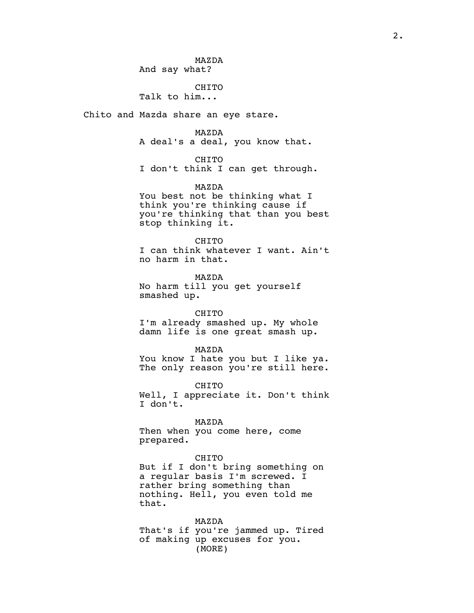MAZDA And say what?

CHITO Talk to him...

Chito and Mazda share an eye stare.

MAZDA

A deal's a deal, you know that.

CHITO

I don't think I can get through.

MAZDA You best not be thinking what I think you're thinking cause if you're thinking that than you best stop thinking it.

CHITO I can think whatever I want. Ain't no harm in that.

MAZDA No harm till you get yourself smashed up.

CHITO I'm already smashed up. My whole damn life is one great smash up.

MAZDA You know I hate you but I like ya. The only reason you're still here.

CHITO Well, I appreciate it. Don't think I don't.

MAZDA Then when you come here, come prepared.

CHITO But if I don't bring something on a regular basis I'm screwed. I rather bring something than nothing. Hell, you even told me that.

MAZDA That's if you're jammed up. Tired of making up excuses for you. (MORE)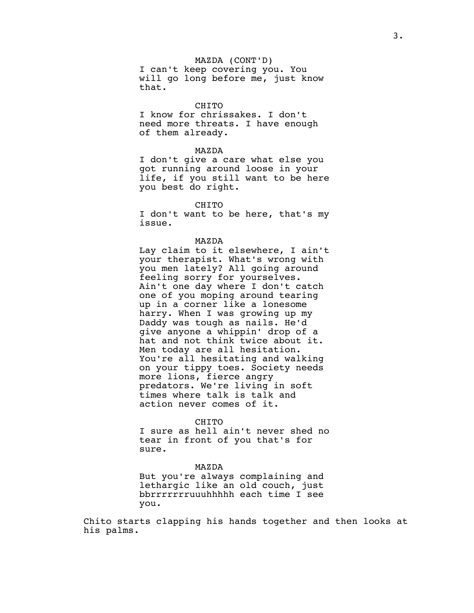MAZDA (CONT'D) I can't keep covering you. You will go long before me, just know that.

## CHITO

I know for chrissakes. I don't need more threats. I have enough of them already.

#### MAZDA

I don't give a care what else you got running around loose in your life, if you still want to be here you best do right.

CHITO

I don't want to be here, that's my issue.

MAZDA

Lay claim to it elsewhere, I ain't your therapist. What's wrong with you men lately? All going around feeling sorry for yourselves. Ain't one day where I don't catch one of you moping around tearing up in a corner like a lonesome harry. When I was growing up my Daddy was tough as nails. He'd give anyone a whippin' drop of a hat and not think twice about it. Men today are all hesitation. You're all hesitating and walking on your tippy toes. Society needs more lions, fierce angry predators. We're living in soft times where talk is talk and action never comes of it.

#### CHITO

I sure as hell ain't never shed no tear in front of you that's for sure.

## MAZDA

But you're always complaining and lethargic like an old couch, just bbrrrrrrruuuhhhhh each time I see you.

Chito starts clapping his hands together and then looks at his palms.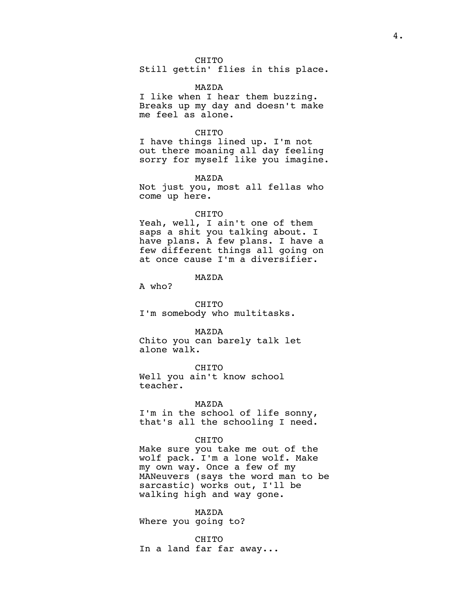## CHITO

Still gettin' flies in this place.

#### MAZDA

I like when I hear them buzzing. Breaks up my day and doesn't make me feel as alone.

#### CHITO

I have things lined up. I'm not out there moaning all day feeling sorry for myself like you imagine.

MAZDA

Not just you, most all fellas who come up here.

#### CHITO

Yeah, well, I ain't one of them saps a shit you talking about. I have plans. A few plans. I have a few different things all going on at once cause I'm a diversifier.

MAZDA

A who?

CHITO I'm somebody who multitasks.

MAZDA Chito you can barely talk let alone walk.

## CHITO

Well you ain't know school teacher.

# MAZDA

I'm in the school of life sonny, that's all the schooling I need.

## CHITO

Make sure you take me out of the wolf pack. I'm a lone wolf. Make my own way. Once a few of my MANeuvers (says the word man to be sarcastic) works out, I'll be walking high and way gone.

MAZDA Where you going to?

CHITO In a land far far away...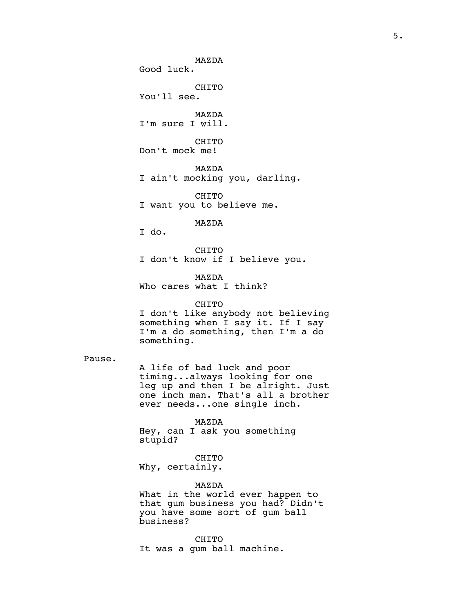MAZDA Good luck. CHITO You'll see. MAZDA I'm sure I will. CHITO Don't mock me! MAZDA I ain't mocking you, darling. CHITO I want you to believe me. MAZDA I do. CHITO I don't know if I believe you. MAZDA Who cares what I think? CHITO I don't like anybody not believing something when I say it. If I say I'm a do something, then I'm a do something. A life of bad luck and poor timing...always looking for one leg up and then I be alright. Just one inch man. That's all a brother ever needs...one single inch. MAZDA Hey, can I ask you something stupid? CHITO Why, certainly. MAZDA What in the world ever happen to that gum business you had? Didn't you have some sort of gum ball business?

Pause.

CHITO It was a gum ball machine.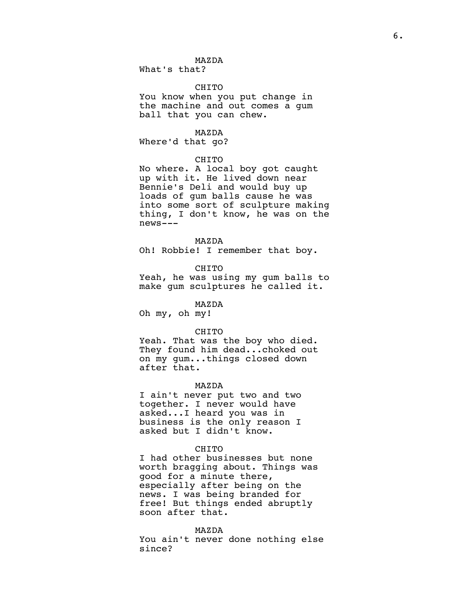What's that?

## CHITO

MAZDA

You know when you put change in the machine and out comes a gum ball that you can chew.

MAZDA

Where'd that go?

## CHITO

No where. A local boy got caught up with it. He lived down near Bennie's Deli and would buy up loads of gum balls cause he was into some sort of sculpture making thing, I don't know, he was on the news---

#### MAZDA

Oh! Robbie! I remember that boy.

## **CHITO**

Yeah, he was using my gum balls to make gum sculptures he called it.

MAZDA

Oh my, oh my!

### CHITO

Yeah. That was the boy who died. They found him dead...choked out on my gum...things closed down after that.

#### MAZDA

I ain't never put two and two together. I never would have asked...I heard you was in business is the only reason I asked but I didn't know.

#### CHITO

I had other businesses but none worth bragging about. Things was good for a minute there, especially after being on the news. I was being branded for free! But things ended abruptly soon after that.

#### MAZDA

You ain't never done nothing else since?